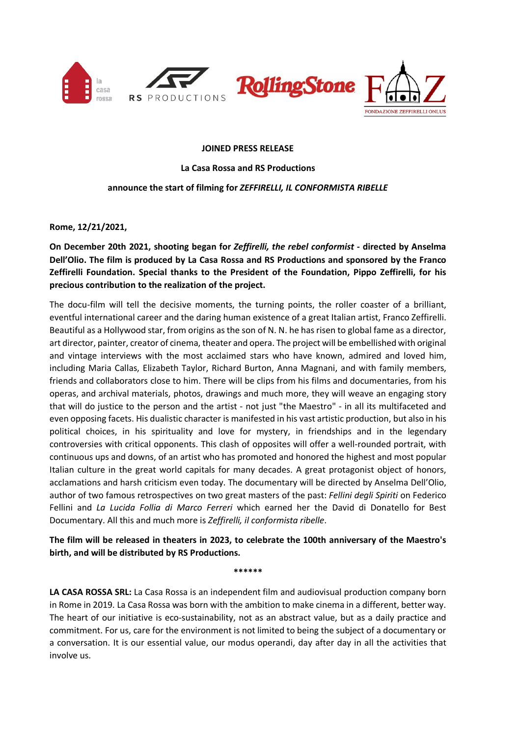

## **JOINED PRESS RELEASE**

**La Casa Rossa and RS Productions**

## **announce the start of filming for** *ZEFFIRELLI, IL CONFORMISTA RIBELLE*

**Rome, 12/21/2021,**

**On December 20th 2021, shooting began for** *Zeffirelli, the rebel conformist* **- directed by Anselma Dell'Olio. The film is produced by La Casa Rossa and RS Productions and sponsored by the Franco Zeffirelli Foundation. Special thanks to the President of the Foundation, Pippo Zeffirelli, for his precious contribution to the realization of the project.**

The docu-film will tell the decisive moments, the turning points, the roller coaster of a brilliant, eventful international career and the daring human existence of a great Italian artist, Franco Zeffirelli. Beautiful as a Hollywood star, from origins as the son of N. N. he has risen to global fame as a director, art director, painter, creator of cinema, theater and opera. The project will be embellished with original and vintage interviews with the most acclaimed stars who have known, admired and loved him, including Maria Callas, Elizabeth Taylor, Richard Burton, Anna Magnani, and with family members, friends and collaborators close to him. There will be clips from his films and documentaries, from his operas, and archival materials, photos, drawings and much more, they will weave an engaging story that will do justice to the person and the artist - not just "the Maestro" - in all its multifaceted and even opposing facets. His dualistic character is manifested in his vast artistic production, but also in his political choices, in his spirituality and love for mystery, in friendships and in the legendary controversies with critical opponents. This clash of opposites will offer a well-rounded portrait, with continuous ups and downs, of an artist who has promoted and honored the highest and most popular Italian culture in the great world capitals for many decades. A great protagonist object of honors, acclamations and harsh criticism even today. The documentary will be directed by Anselma Dell'Olio, author of two famous retrospectives on two great masters of the past: *Fellini degli Spiriti* on Federico Fellini and *La Lucida Follia di Marco Ferreri* which earned her the David di Donatello for Best Documentary. All this and much more is *Zeffirelli, il conformista ribelle*.

**The film will be released in theaters in 2023, to celebrate the 100th anniversary of the Maestro's birth, and will be distributed by RS Productions.**

**\*\*\*\*\*\***

**LA CASA ROSSA SRL:** La Casa Rossa is an independent film and audiovisual production company born in Rome in 2019. La Casa Rossa was born with the ambition to make cinema in a different, better way. The heart of our initiative is eco-sustainability, not as an abstract value, but as a daily practice and commitment. For us, care for the environment is not limited to being the subject of a documentary or a conversation. It is our essential value, our modus operandi, day after day in all the activities that involve us.